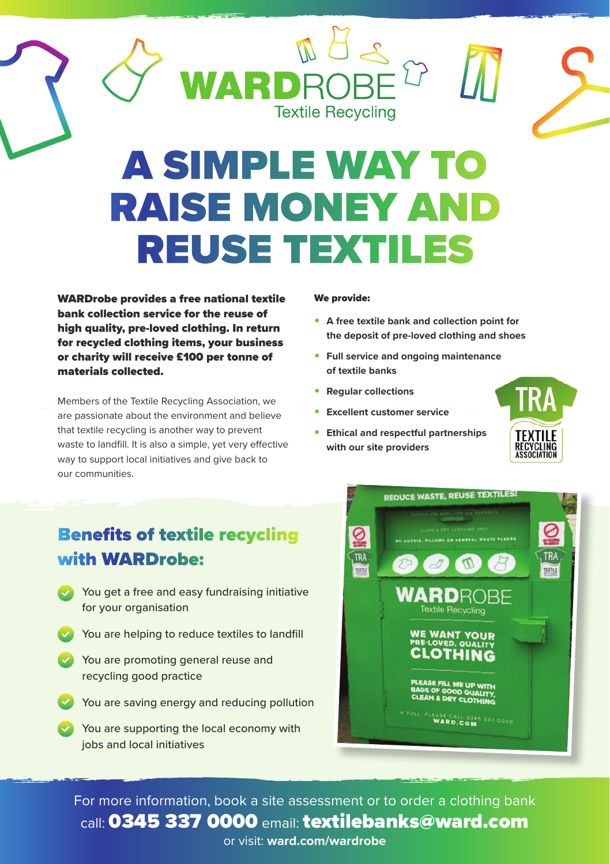A SIMPLE WAY TO RAISE MONEY AND REUSE TEXTILES

WARDrobe provides a free national textile bank collection service for the reuse of high quality, pre-loved clothing. In return for recycled clothing items, your business or charity will receive £100 per tonne of materials collected.

Members of the Textile Recycling Association, we are passionate about the environment and believe that textile recycling is another way to prevent waste to landfill. It is also a simple, yet very effective way to support local initiatives and give back to our communities.

#### We provide:

**Textile Recycling** 

- **• A free textile bank and collection point for the deposit of pre-loved clothing and shoes**
- **• Full service and ongoing maintenance of textile banks**
- **• Regular collections**
- **• Excellent customer service**
- **• Ethical and respectful partnerships with our site providers**



# Benefits of textile recycling with WARDrobe:

- You get a free and easy fundraising initiative for your organisation
- You are helping to reduce textiles to landfill
- You are promoting general reuse and recycling good practice
- You are saving energy and reducing pollution
- You are supporting the local economy with jobs and local initiatives



For more information, book a site assessment or to order a clothing bank call: 0345 337 0000 email:textilebanks@ward.com or visit: **ward.com/wardrobe**